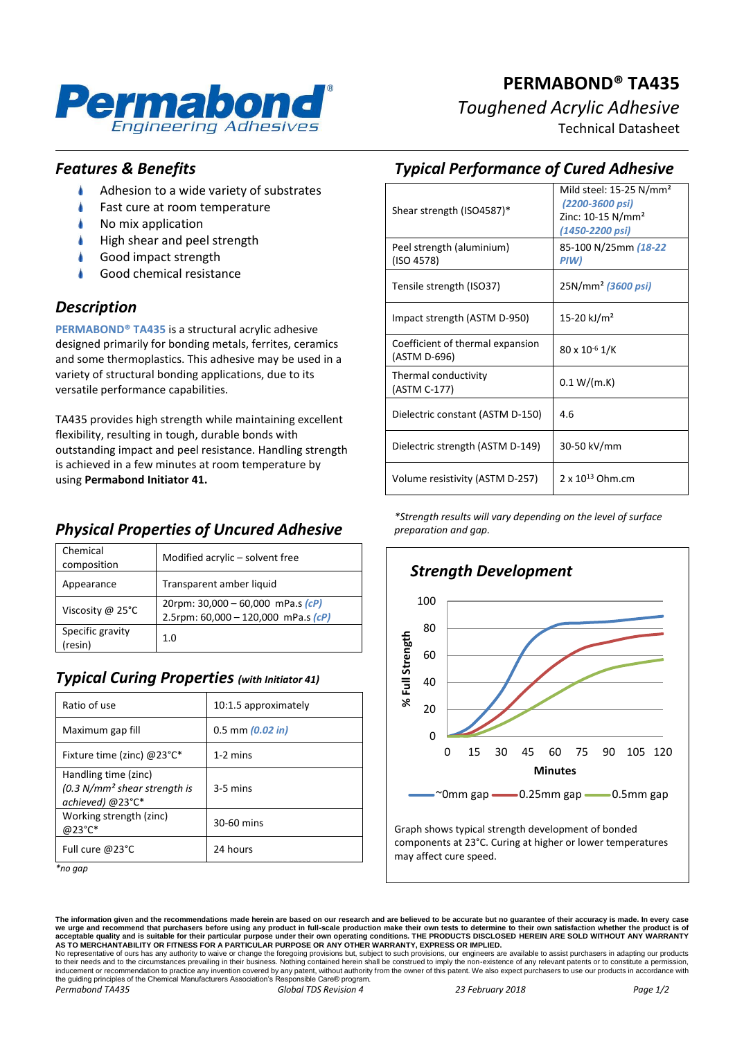

# **PERMABOND® TA435** *Toughened Acrylic Adhesive* Technical Datasheet

*Features & Benefits*

- ۸ Adhesion to a wide variety of substrates
- à Fast cure at room temperature
- À No mix application
- À High shear and peel strength
- Good impact strength
- Good chemical resistance

## *Description*

**PERMABOND® TA435** is a structural acrylic adhesive designed primarily for bonding metals, ferrites, ceramics and some thermoplastics. This adhesive may be used in a variety of structural bonding applications, due to its versatile performance capabilities.

TA435 provides high strength while maintaining excellent flexibility, resulting in tough, durable bonds with outstanding impact and peel resistance. Handling strength is achieved in a few minutes at room temperature by using **Permabond Initiator 41.**

# *Physical Properties of Uncured Adhesive*

| Chemical<br>composition    | Modified acrylic - solvent free                                                  |
|----------------------------|----------------------------------------------------------------------------------|
| Appearance                 | Transparent amber liquid                                                         |
| Viscosity @ 25°C           | 20rpm: $30,000 - 60,000$ mPa.s $(cP)$<br>2.5rpm: $60,000 - 120,000$ mPa.s $(cP)$ |
| Specific gravity<br>resin) | 1.0                                                                              |

## *Typical Curing Properties (with Initiator 41)*

| 10:1.5 approximately |
|----------------------|
| $0.5$ mm $(0.02$ in) |
| $1-2$ mins           |
| $3-5$ mins           |
| 30-60 mins           |
| 24 hours             |
|                      |

*<sup>\*</sup>no gap*

# *Typical Performance of Cured Adhesive*

| Shear strength (ISO4587)*                        | Mild steel: $15-25$ N/mm <sup>2</sup><br>(2200-3600 psi)<br>Zinc: $10-15$ N/mm <sup>2</sup><br>(1450-2200 psi) |
|--------------------------------------------------|----------------------------------------------------------------------------------------------------------------|
| Peel strength (aluminium)<br>(ISO 4578)          | 85-100 N/25mm (18-22)<br>PIW)                                                                                  |
| Tensile strength (ISO37)                         | 25N/mm <sup>2</sup> (3600 psi)                                                                                 |
| Impact strength (ASTM D-950)                     | 15-20 kJ/m <sup>2</sup>                                                                                        |
| Coefficient of thermal expansion<br>(ASTM D-696) | $80 \times 10^{-6}$ 1/K                                                                                        |
| Thermal conductivity<br>(ASTM C-177)             | 0.1 W/(m.K)                                                                                                    |
| Dielectric constant (ASTM D-150)                 | 4.6                                                                                                            |
| Dielectric strength (ASTM D-149)                 | 30-50 kV/mm                                                                                                    |
| Volume resistivity (ASTM D-257)                  | 2 x 10 <sup>13</sup> Ohm.cm                                                                                    |

*\*Strength results will vary depending on the level of surface preparation and gap.*



The information given and the recommendations made herein are based on our research and are believed to be accurate but no guarantee of their accuracy is made. In every case<br>we urge and recommend that purchasers before usi

No representative of ours has any authority to waive or change the foregoing provisions but, subject to such provisions, our engineers are available to assist purchasers in adapting our products<br>to their needs and to the c the guiding principles of the Chemical Manufacturers Association's Responsible Care® program. *Permabond TA435 Global TDS Revision 4 23 February 2018 Page 1/2*